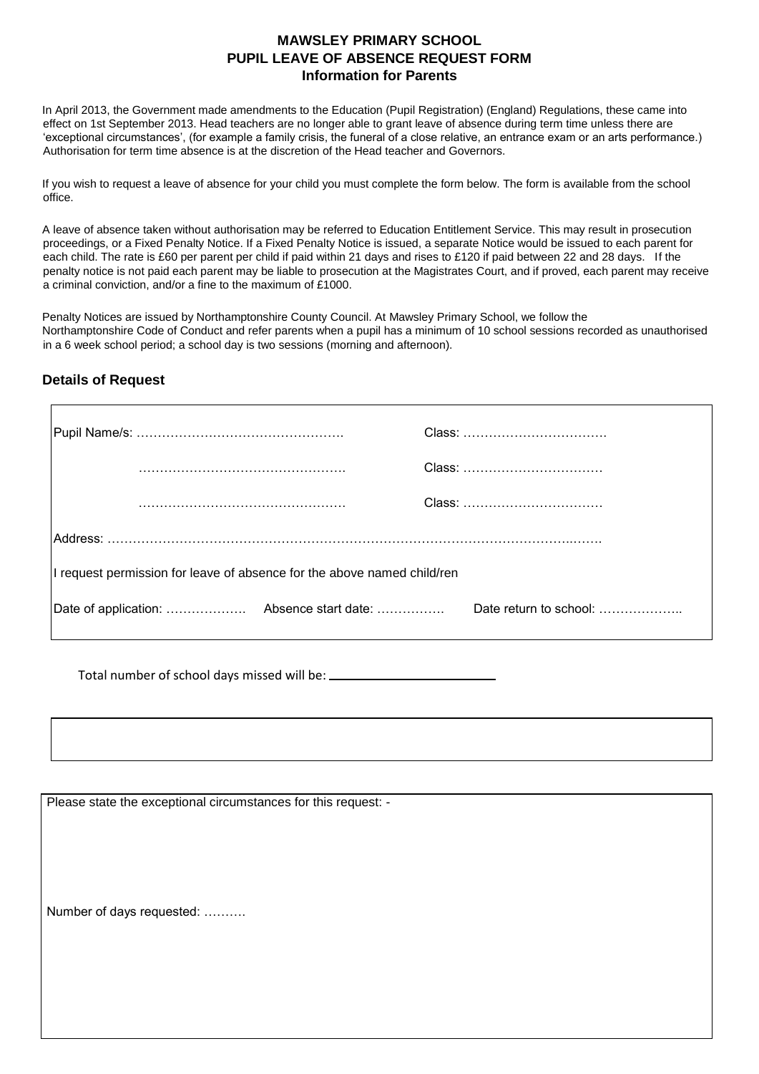## **MAWSLEY PRIMARY SCHOOL PUPIL LEAVE OF ABSENCE REQUEST FORM Information for Parents**

In April 2013, the Government made amendments to the Education (Pupil Registration) (England) Regulations, these came into effect on 1st September 2013. Head teachers are no longer able to grant leave of absence during term time unless there are 'exceptional circumstances', (for example a family crisis, the funeral of a close relative, an entrance exam or an arts performance.) Authorisation for term time absence is at the discretion of the Head teacher and Governors.

If you wish to request a leave of absence for your child you must complete the form below. The form is available from the school office.

A leave of absence taken without authorisation may be referred to Education Entitlement Service. This may result in prosecution proceedings, or a Fixed Penalty Notice. If a Fixed Penalty Notice is issued, a separate Notice would be issued to each parent for each child. The rate is £60 per parent per child if paid within 21 days and rises to £120 if paid between 22 and 28 days. If the penalty notice is not paid each parent may be liable to prosecution at the Magistrates Court, and if proved, each parent may receive a criminal conviction, and/or a fine to the maximum of £1000.

Penalty Notices are issued by Northamptonshire County Council. At Mawsley Primary School, we follow the Northamptonshire Code of Conduct and refer parents when a pupil has a minimum of 10 school sessions recorded as unauthorised in a 6 week school period; a school day is two sessions (morning and afternoon).

## **Details of Request**

| I request permission for leave of absence for the above named child/ren |  |                        |  |  |
|-------------------------------------------------------------------------|--|------------------------|--|--|
|                                                                         |  | Date return to school: |  |  |
|                                                                         |  |                        |  |  |

Total number of school days missed will be:

Please state the exceptional circumstances for this request: -

Number of days requested: ……….